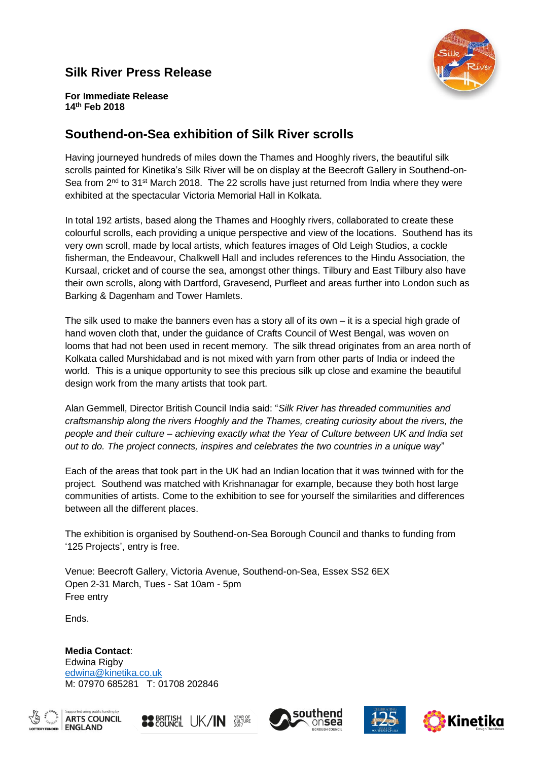# **Silk River Press Release**



**For Immediate Release 14th Feb 2018**

# **Southend-on-Sea exhibition of Silk River scrolls**

Having journeyed hundreds of miles down the Thames and Hooghly rivers, the beautiful silk scrolls painted for Kinetika's Silk River will be on display at the Beecroft Gallery in Southend-on-Sea from 2<sup>nd</sup> to 31<sup>st</sup> March 2018. The 22 scrolls have just returned from India where they were exhibited at the spectacular Victoria Memorial Hall in Kolkata.

In total 192 artists, based along the Thames and Hooghly rivers, collaborated to create these colourful scrolls, each providing a unique perspective and view of the locations. Southend has its very own scroll, made by local artists, which features images of Old Leigh Studios, a cockle fisherman, the Endeavour, Chalkwell Hall and includes references to the Hindu Association, the Kursaal, cricket and of course the sea, amongst other things. Tilbury and East Tilbury also have their own scrolls, along with Dartford, Gravesend, Purfleet and areas further into London such as Barking & Dagenham and Tower Hamlets.

The silk used to make the banners even has a story all of its own – it is a special high grade of hand woven cloth that, under the guidance of Crafts Council of West Bengal, was woven on looms that had not been used in recent memory. The silk thread originates from an area north of Kolkata called Murshidabad and is not mixed with yarn from other parts of India or indeed the world. This is a unique opportunity to see this precious silk up close and examine the beautiful design work from the many artists that took part.

Alan Gemmell, Director British Council India said: "*Silk River has threaded communities and craftsmanship along the rivers Hooghly and the Thames, creating curiosity about the rivers, the people and their culture – achieving exactly what the Year of Culture between UK and India set out to do. The project connects, inspires and celebrates the two countries in a unique way*"

Each of the areas that took part in the UK had an Indian location that it was twinned with for the project. Southend was matched with Krishnanagar for example, because they both host large communities of artists. Come to the exhibition to see for yourself the similarities and differences between all the different places.

The exhibition is organised by Southend-on-Sea Borough Council and thanks to funding from '125 Projects', entry is free.

Venue: Beecroft Gallery, Victoria Avenue, Southend-on-Sea, Essex SS2 6EX Open 2-31 March, Tues - Sat 10am - 5pm Free entry

Ends.

**Media Contact**: Edwina Rigby [edwina@kinetika.co.uk](mailto:edwina@kinetika.co.uk) M: 07970 685281 T: 01708 202846











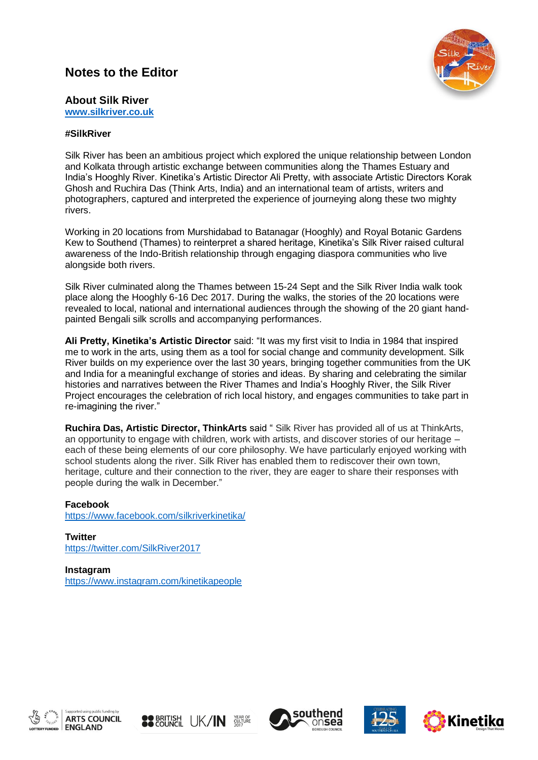## **Notes to the Editor**



### **About Silk River**

**[www.silkriver.co.uk](http://www.silkriver.co.uk/)**

#### **#SilkRiver**

Silk River has been an ambitious project which explored the unique relationship between London and Kolkata through artistic exchange between communities along the Thames Estuary and India's Hooghly River. Kinetika's Artistic Director Ali Pretty, with associate Artistic Directors Korak Ghosh and Ruchira Das (Think Arts, India) and an international team of artists, writers and photographers, captured and interpreted the experience of journeying along these two mighty rivers.

Working in 20 locations from Murshidabad to Batanagar (Hooghly) and Royal Botanic Gardens Kew to Southend (Thames) to reinterpret a shared heritage, Kinetika's Silk River raised cultural awareness of the Indo-British relationship through engaging diaspora communities who live alongside both rivers.

Silk River culminated along the Thames between 15-24 Sept and the Silk River India walk took place along the Hooghly 6-16 Dec 2017. During the walks, the stories of the 20 locations were revealed to local, national and international audiences through the showing of the 20 giant handpainted Bengali silk scrolls and accompanying performances.

**Ali Pretty, Kinetika's Artistic Director** said: "It was my first visit to India in 1984 that inspired me to work in the arts, using them as a tool for social change and community development. Silk River builds on my experience over the last 30 years, bringing together communities from the UK and India for a meaningful exchange of stories and ideas. By sharing and celebrating the similar histories and narratives between the River Thames and India's Hooghly River, the Silk River Project encourages the celebration of rich local history, and engages communities to take part in re-imagining the river."

**Ruchira Das, Artistic Director, ThinkArts** said " Silk River has provided all of us at ThinkArts, an opportunity to engage with children, work with artists, and discover stories of our heritage – each of these being elements of our core philosophy. We have particularly enjoyed working with school students along the river. Silk River has enabled them to rediscover their own town, heritage, culture and their connection to the river, they are eager to share their responses with people during the walk in December."

#### **Facebook**

<https://www.facebook.com/silkriverkinetika/>

**Twitter** <https://twitter.com/SilkRiver2017>

**Instagram** <https://www.instagram.com/kinetikapeople>